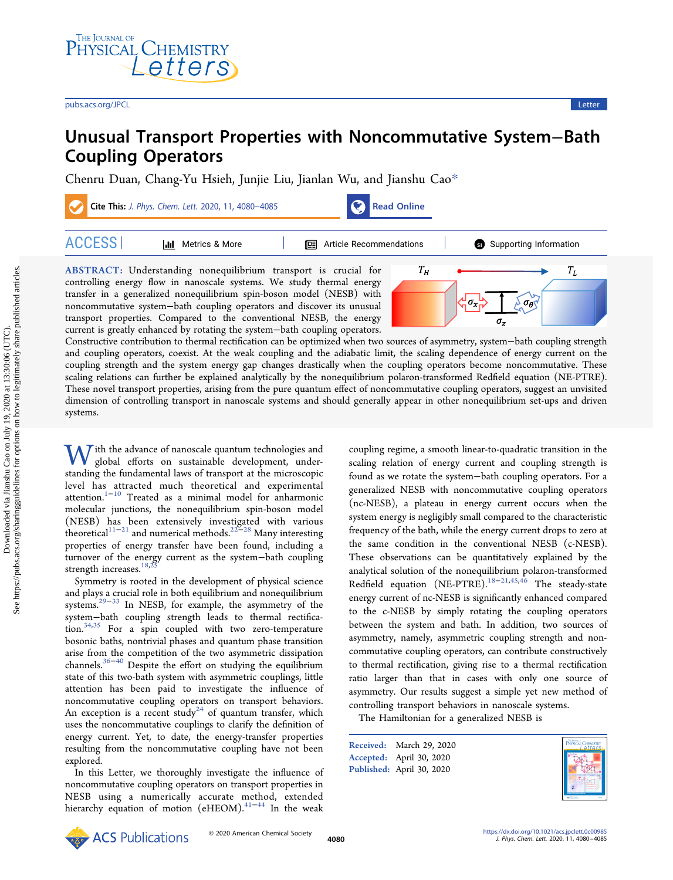# Unusual Transport Properties with Noncommutative System−Bath Coupling Operators

[Chenru Duan,](https://pubs.acs.org/action/doSearch?field1=Contrib&text1="Chenru+Duan"&field2=AllField&text2=&publication=&accessType=allContent&Earliest=&ref=pdf) [Chang-Yu Hsieh,](https://pubs.acs.org/action/doSearch?field1=Contrib&text1="Chang-Yu+Hsieh"&field2=AllField&text2=&publication=&accessType=allContent&Earliest=&ref=pdf) [Junjie Liu,](https://pubs.acs.org/action/doSearch?field1=Contrib&text1="Junjie+Liu"&field2=AllField&text2=&publication=&accessType=allContent&Earliest=&ref=pdf) [Jianlan Wu,](https://pubs.acs.org/action/doSearch?field1=Contrib&text1="Jianlan+Wu"&field2=AllField&text2=&publication=&accessType=allContent&Earliest=&ref=pdf) [and Jianshu Cao](https://pubs.acs.org/action/doSearch?field1=Contrib&text1="Jianshu+Cao"&field2=AllField&text2=&publication=&accessType=allContent&Earliest=&ref=pdf)[\\*](#page-3-0)



ABSTRACT: Understanding nonequilibrium transport is crucial for controlling energy flow in nanoscale systems. We study thermal energy transfer in a generalized nonequilibrium spin-boson model (NESB) with noncommutative system−bath coupling operators and discover its unusual transport properties. Compared to the conventional NESB, the energy current is greatly enhanced by rotating the system−bath coupling operators.



Constructive contribution to thermal rectification can be optimized when two sources of asymmetry, system−bath coupling strength and coupling operators, coexist. At the weak coupling and the adiabatic limit, the scaling dependence of energy current on the coupling strength and the system energy gap changes drastically when the coupling operators become noncommutative. These scaling relations can further be explained analytically by the nonequilibrium polaron-transformed Redfield equation (NE-PTRE). These novel transport properties, arising from the pure quantum effect of noncommutative coupling operators, suggest an unvisited dimension of controlling transport in nanoscale systems and should generally appear in other nonequilibrium set-ups and driven systems.

W ith the advance of nanoscale quantum technologies and global efforts on sustainable development, understanding the fundamental laws of transport at the microscopic level has attracted much theoretical and experimental attention.[1](#page-4-0)<sup>−</sup>[10](#page-4-0) Treated as a minimal model for anharmonic molecular junctions, the nonequilibrium spin-boson model (NESB) has been extensively investigated with various theoretical $^{11-21}$  $^{11-21}$  $^{11-21}$  $^{11-21}$  $^{11-21}$  and numerical methods.<sup>22–[28](#page-4-0)</sup> Many interesting properties of energy transfer have been found, including a turnover of the energy current as the system−bath coupling strength increases.  $^{18,25}$  $^{18,25}$  $^{18,25}$  $^{18,25}$  $^{18,25}$ 

Symmetry is rooted in the development of physical science and plays a crucial role in both equilibrium and nonequilibrium systems.[29](#page-4-0)<sup>−</sup>[33](#page-4-0) In NESB, for example, the asymmetry of the system−bath coupling strength leads to thermal rectification.[34,35](#page-4-0) For a spin coupled with two zero-temperature bosonic baths, nontrivial phases and quantum phase transition arise from the competition of the two asymmetric dissipation channels.[36](#page-4-0)<sup>−</sup>[40](#page-5-0) Despite the effort on studying the equilibrium state of this two-bath system with asymmetric couplings, little attention has been paid to investigate the influence of noncommutative coupling operators on transport behaviors. An exception is a recent study<sup>24</sup> of quantum transfer, which uses the noncommutative couplings to clarify the definition of energy current. Yet, to date, the energy-transfer properties resulting from the noncommutative coupling have not been explored.

In this Letter, we thoroughly investigate the influence of noncommutative coupling operators on transport properties in NESB using a numerically accurate method, extended hierarchy equation of motion (eHEOM).<sup>[41](#page-5-0)-[44](#page-5-0)</sup> In the weak

coupling regime, a smooth linear-to-quadratic transition in the scaling relation of energy current and coupling strength is found as we rotate the system−bath coupling operators. For a generalized NESB with noncommutative coupling operators (nc-NESB), a plateau in energy current occurs when the system energy is negligibly small compared to the characteristic frequency of the bath, while the energy current drops to zero at the same condition in the conventional NESB (c-NESB). These observations can be quantitatively explained by the analytical solution of the nonequilibrium polaron-transformed Redfield equation (NE-PTRE).<sup>[18](#page-4-0)−[21,](#page-4-0)[45,46](#page-5-0)</sup> The steady-state energy current of nc-NESB is significantly enhanced compared to the c-NESB by simply rotating the coupling operators between the system and bath. In addition, two sources of asymmetry, namely, asymmetric coupling strength and noncommutative coupling operators, can contribute constructively to thermal rectification, giving rise to a thermal rectification ratio larger than that in cases with only one source of asymmetry. Our results suggest a simple yet new method of controlling transport behaviors in nanoscale systems.

The Hamiltonian for a generalized NESB is

Received: March 29, 2020 Accepted: April 30, 2020 Published: April 30, 2020



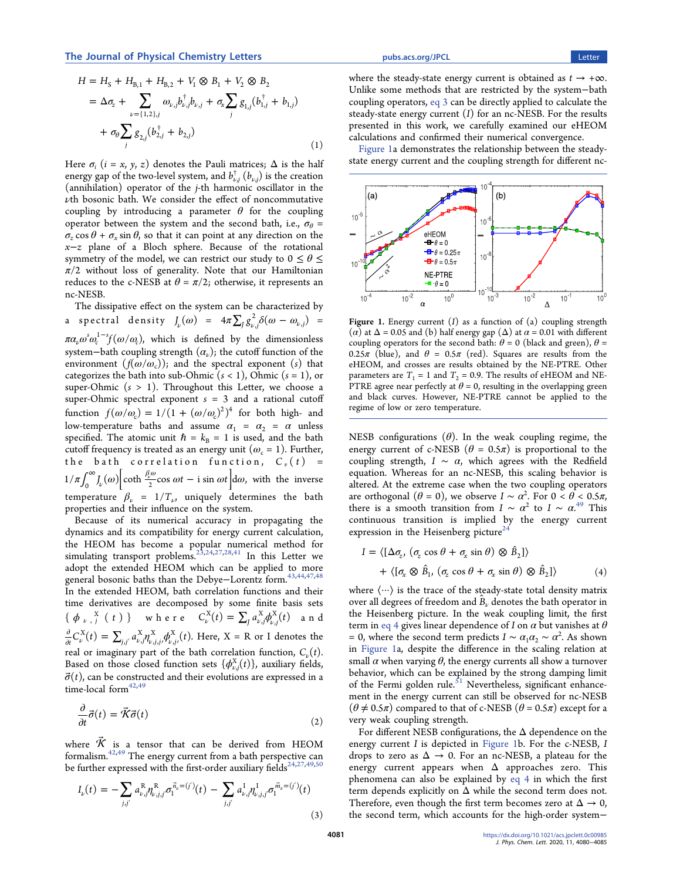<span id="page-1-0"></span>
$$
H = H_{S} + H_{B,1} + H_{B,2} + V_{1} \otimes B_{1} + V_{2} \otimes B_{2}
$$
  
=  $\Delta \sigma_{z} + \sum_{\nu = \{1,2\},j} \omega_{\nu,j} b_{\nu,j}^{\dagger} b_{\nu,j} + \sigma_{x} \sum_{j} g_{1,j} (b_{1,j}^{\dagger} + b_{1,j})$   
+  $\sigma_{\theta} \sum_{j} g_{2,j} (b_{2,j}^{\dagger} + b_{2,j})$  (1)

Here  $\sigma_i$  (i = x, y, z) denotes the Pauli matrices;  $\Delta$  is the half energy gap of the two-level system, and  $b^{\dagger}_{\nu, j} \left( b_{\nu, j} \right)$  is the creation (annihilation) operator of the j-th harmonic oscillator in the  $\nu$ th bosonic bath. We consider the effect of noncommutative coupling by introducing a parameter  $\theta$  for the coupling operator between the system and the second bath, i.e.,  $\sigma_{\theta}$  =  $\sigma_z$  cos  $\theta + \sigma_x \sin \theta$ , so that it can point at any direction on the x−z plane of a Bloch sphere. Because of the rotational symmetry of the model, we can restrict our study to  $0 \le \theta \le$  $\pi/2$  without loss of generality. Note that our Hamiltonian reduces to the c-NESB at  $\theta = \pi/2$ ; otherwise, it represents an nc-NESB.

The dissipative effect on the system can be characterized by a spectral density  $J_{\nu}(\omega) = 4\pi \sum_j g_{\nu,j}^2 \delta(\omega - \omega_{\nu,j})$  =  $\pi a_{\nu} \omega^s \omega_c^{1-s} f(\omega/\omega_c)$ , which is defined by the dimensionless system–bath coupling strength  $(\alpha_{\nu})$ ; the cutoff function of the environment  $(f(\omega/\omega_c))$ ; and the spectral exponent (s) that categorizes the bath into sub-Ohmic  $(s < 1)$ , Ohmic  $(s = 1)$ , or super-Ohmic  $(s > 1)$ . Throughout this Letter, we choose a super-Ohmic spectral exponent  $s = 3$  and a rational cutoff function  $f(\omega/\omega_c) = 1/(1 + (\omega/\omega_c)^2)^4$  for both high- and low-temperature baths and assume  $\alpha_1 = \alpha_2 = \alpha$  unless specified. The atomic unit  $\hbar = k_B = 1$  is used, and the bath cutoff frequency is treated as an energy unit ( $\omega_c = 1$ ). Further, the bath correlation function,  $C_v(t)$  =  $1/\pi \int_0^{\infty} J_{\nu}(\omega) \left[ \coth \frac{\beta_{\nu}^{\omega}}{2} \cos \omega t - i \sin \omega t \right] d\omega$ , with the inverse temperature  $\beta_{\nu} = 1/T_{\nu}$ , uniquely determines the bath properties and their influence on the system.

Because of its numerical accuracy in propagating the dynamics and its compatibility for energy current calculation, the HEOM has become a popular numerical method for simulating transport problems[.23](#page-4-0),[24](#page-4-0),[27,28](#page-4-0)[,41](#page-5-0) In this Letter we adopt the extended HEOM which can be applied to more general bosonic baths than the Debye-Lorentz form.<sup>[43](#page-5-0),[44](#page-5-0),[47,48](#page-5-0)</sup> In the extended HEOM, bath correlation functions and their time derivatives are decomposed by some finite basis sets {  $\phi_{\nu}$ , <sup>x</sup><sub>*j*</sub> (*t*) } where  $C_{\nu}^{X}(t) = \sum_{j} a_{\nu,j}^{X} \phi_{\nu,j}^{X}(t)$  $\int_{y,j}^X (t)$  and  $\frac{\partial}{\partial t} C_{\nu}^{X}(t) = \sum_{j,j'} a_{\nu,j}^{X} \eta_{\nu,j,j'}^{X} \phi_{\nu,j'}^{X}(t)$ ,j , X  $\int_{x,y}^{X}(t)$ . Here,  $X = R$  or I denotes the real or imaginary part of the bath correlation function,  $C_{\nu}(t)$ . Based on those closed function sets  $\{\phi_{\nu,j}^{\rm X}(t)\}$ , auxiliary fields,  $\vec{\sigma}(t)$ , can be constructed and their evolutions are expressed in a time-local form $42,49$ 

$$
\frac{\partial}{\partial t}\vec{\sigma}(t) = \vec{\mathcal{K}}\vec{\sigma}(t) \tag{2}
$$

where  $\vec{\mathcal{K}}$  is a tensor that can be derived from HEOM formalism. $^{42,49}$  $^{42,49}$  $^{42,49}$  The energy current from a bath perspective can be further expressed with the first-order auxiliary fields<sup>24,[27](#page-4-0),[49,50](#page-5-0)</sup>

$$
I_{\nu}(t) = -\sum_{j,j'} a_{\nu,j}^{R} \eta_{\nu,j,j'}^{R} \sigma_{1}^{\vec{n}_{\nu} = (j')} (t) - \sum_{j,j'} a_{\nu,j}^{I} \eta_{\nu,j,j'}^{I} \sigma_{1}^{\vec{m}_{\nu} = (j')} (t)
$$
\n(3)

where the steady-state energy current is obtained as  $t \to +\infty$ . Unlike some methods that are restricted by the system−bath coupling operators, eq 3 can be directly applied to calculate the steady-state energy current  $(I)$  for an nc-NESB. For the results presented in this work, we carefully examined our eHEOM calculations and confirmed their numerical convergence.

Figure 1a demonstrates the relationship between the steadystate energy current and the coupling strength for different nc-



Figure 1. Energy current  $(I)$  as a function of  $(a)$  coupling strength (α) at  $Δ = 0.05$  and (b) half energy gap ( $Δ$ ) at  $α = 0.01$  with different coupling operators for the second bath:  $\theta = 0$  (black and green),  $\theta =$ 0.25 $\pi$  (blue), and  $\theta = 0.5\pi$  (red). Squares are results from the eHEOM, and crosses are results obtained by the NE-PTRE. Other parameters are  $T_1 = 1$  and  $T_2 = 0.9$ . The results of eHEOM and NE-PTRE agree near perfectly at  $\theta = 0$ , resulting in the overlapping green and black curves. However, NE-PTRE cannot be applied to the regime of low or zero temperature.

NESB configurations  $(\theta)$ . In the weak coupling regime, the energy current of c-NESB ( $\theta = 0.5\pi$ ) is proportional to the coupling strength,  $I \sim \alpha$ , which agrees with the Redfield equation. Whereas for an nc-NESB, this scaling behavior is altered. At the extreme case when the two coupling operators are orthogonal  $(\theta = 0)$ , we observe  $I \sim \alpha^2$ . For  $0 < \theta < 0.5\pi$ , there is a smooth transition from  $I \sim \alpha^2$  to  $I \sim \alpha^{49}$  $I \sim \alpha^{49}$  $I \sim \alpha^{49}$  This continuous transition is implied by the energy current expression in the Heisenberg picture<sup>24</sup>

$$
I = \langle [\Delta \sigma_z, (\sigma_z \cos \theta + \sigma_x \sin \theta) \otimes \hat{B}_2] \rangle
$$
  
+ \langle [\sigma\_x \otimes \hat{B}\_1, (\sigma\_z \cos \theta + \sigma\_x \sin \theta) \otimes \hat{B}\_2] \rangle (4)

where  $\langle \cdots \rangle$  is the trace of the steady-state total density matrix over all degrees of freedom and  $\hat{B}_{\nu}$  denotes the bath operator in the Heisenberg picture. In the weak coupling limit, the first term in eq 4 gives linear dependence of I on  $\alpha$  but vanishes at  $\theta$ = 0, where the second term predicts  $I \sim a_1 a_2 \sim a^2$ . As shown in Figure 1a, despite the difference in the scaling relation at small  $\alpha$  when varying  $\theta$ , the energy currents all show a turnover behavior, which can be explained by the strong damping limit of the Fermi golden rule. $51$  Nevertheless, significant enhancement in the energy current can still be observed for nc-NESB  $(\theta \neq 0.5\pi)$  compared to that of c-NESB  $(\theta = 0.5\pi)$  except for a very weak coupling strength.

For different NESB configurations, the  $\Delta$  dependence on the energy current I is depicted in Figure 1b. For the c-NESB, I drops to zero as  $\Delta \rightarrow 0$ . For an nc-NESB, a plateau for the energy current appears when  $\Delta$  approaches zero. This phenomena can also be explained by eq 4 in which the first term depends explicitly on  $\Delta$  while the second term does not. Therefore, even though the first term becomes zero at  $\Delta \rightarrow 0$ , the second term, which accounts for the high-order system−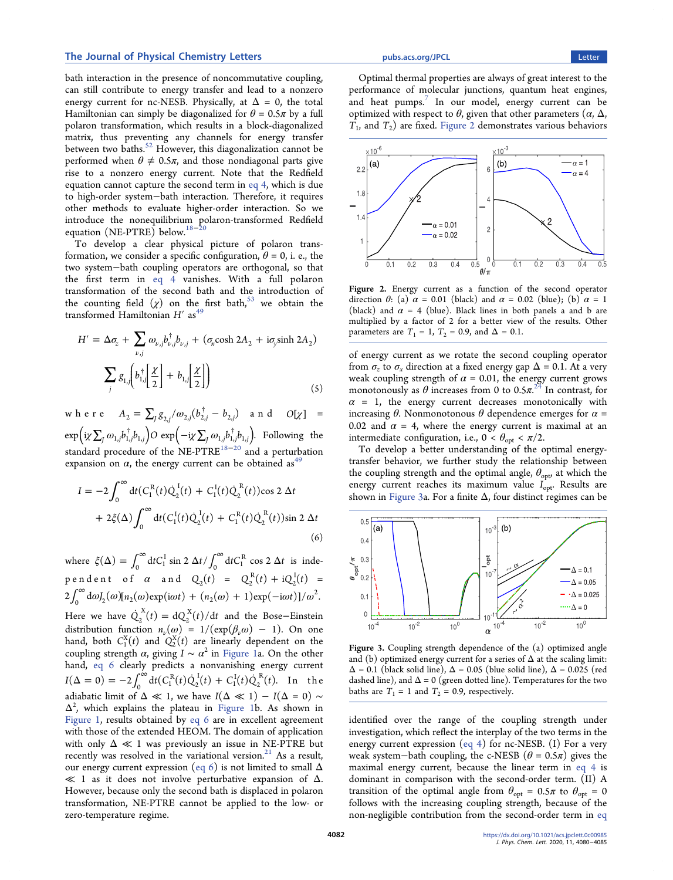# <span id="page-2-0"></span>The Journal of Physical Chemistry Letters **[pubs.acs.org/JPCL](pubs.acs.org/JPCL?ref=pdf)** Chemistry Letter and The Tetter

bath interaction in the presence of noncommutative coupling, can still contribute to energy transfer and lead to a nonzero energy current for nc-NESB. Physically, at  $\Delta = 0$ , the total Hamiltonian can simply be diagonalized for  $\theta = 0.5\pi$  by a full polaron transformation, which results in a block-diagonalized matrix, thus preventing any channels for energy transfer between two baths.<sup>[52](#page-5-0)</sup> However, this diagonalization cannot be performed when  $\theta \neq 0.5\pi$ , and those nondiagonal parts give rise to a nonzero energy current. Note that the Redfield equation cannot capture the second term in [eq 4,](#page-1-0) which is due to high-order system−bath interaction. Therefore, it requires other methods to evaluate higher-order interaction. So we introduce the nonequilibrium polaron-transformed Redfield equation (NE-PTRE) below.<sup>[18](#page-4-0)−[20](#page-4-0)</sup>

To develop a clear physical picture of polaron transformation, we consider a specific configuration,  $\theta = 0$ , i. e., the two system−bath coupling operators are orthogonal, so that the first term in [eq 4](#page-1-0) vanishes. With a full polaron transformation of the second bath and the introduction of the counting field  $(\chi)$  on the first bath,<sup>[53](#page-5-0)</sup> we obtain the transformed Hamiltonian  $H'$  as<sup>49</sup>

$$
H' = \Delta \sigma_z + \sum_{\nu,j} \omega_{\nu,j} b_{\nu,j}^{\dagger} b_{\nu,j} + (\sigma_x \cosh 2A_2 + i\sigma_y \sinh 2A_2)
$$

$$
\sum_j g_{1,j} \left[ b_{1,j}^{\dagger} \left[ \frac{\chi}{2} \right] + b_{1,j} \left[ \frac{\chi}{2} \right] \right)
$$
(5)

where  $A_2 = \sum_{j} g_{2,j} / \omega_{2,j} (b_{2,j}^{\dagger} - b_{2,j})$  and  $O[\chi] =$  $\exp \Bigl( \mathrm{i} \chi \sum_j \omega_{1,j} b_{1,j}^\dagger b_{1,j} \Bigr) O \ \exp \Bigl( - \mathrm{i} \chi \sum_j \omega_{1,j} b_{1,j}^\dagger b_{1,j} \Bigr).$  Following the standard procedure of the NE-PTRE<sup>[18](#page-4-0)−[20](#page-4-0)</sup> and a perturbation expansion on  $\alpha$ , the energy current can be obtained as<sup>[49](#page-5-0)</sup>

$$
I = -2 \int_0^{\infty} dt (C_1^R(t) \dot{Q}_2^I(t) + C_1^I(t) \dot{Q}_2^R(t)) \cos 2 \Delta t + 2 \xi (\Delta) \int_0^{\infty} dt (C_1^I(t) \dot{Q}_2^I(t) + C_1^R(t) \dot{Q}_2^R(t)) \sin 2 \Delta t
$$
\n(6)

where  $\xi(\Delta) = \int_0^\infty dt C_1^{\text{I}} \sin 2 \Delta t / \int_0^\infty dt C_1^{\text{R}} \cos 2 \Delta t$  is independent of  $\alpha$  and  $Q_2(t) = Q_2^{R}(t) + iQ_2^{I}(t)$  $2^{\text{I}}(t) =$  $2\int_0^{\infty} d\omega J_2(\omega) [n_2(\omega) \exp(i\omega t) + (n_2(\omega) + 1) \exp(-i\omega t)]/\omega^2$ . Here we have  $\dot{Q}_2^{\text{X}}(t) = dQ_2^{\text{X}}(t)/dt$  $\frac{X}{2}(t)/dt$  and the Bose–Einstein distribution function  $n_{\nu}(\omega) = 1/(\exp(\beta_{\nu}\omega) - 1)$ . On one hand, both  $C_1^X(t)$  and  $Q_2^X(t)$  are linearly dependent on the coupling strength  $\alpha$ , giving  $I \sim \alpha^2$  in [Figure 1a](#page-1-0). On the other hand, eq 6 clearly predicts a nonvanishing energy current  $I(\Delta = 0) = -2 \int_0^\infty dt (C_1^R(t) \dot{Q}_2^I(t) + C_1^I(t) \dot{Q}_2^R(t))$ 2 I 1 I  $\int_{2}^{R}(t)$ . In the adiabatic limit of  $\Delta \ll 1$ , we have  $I(\Delta \ll 1) - I(\Delta = 0) \sim$  $\Delta^2$ , which explains the plateau in [Figure 1b](#page-1-0). As shown in [Figure 1](#page-1-0), results obtained by eq 6 are in excellent agreement with those of the extended HEOM. The domain of application with only  $\Delta \ll 1$  was previously an issue in NE-PTRE but recently was resolved in the variational version. $21$  As a result, our energy current expression (eq 6) is not limited to small  $\Delta$  $\ll$  1 as it does not involve perturbative expansion of  $\Delta$ . However, because only the second bath is displaced in polaron transformation, NE-PTRE cannot be applied to the low- or zero-temperature regime.

Optimal thermal properties are always of great interest to the performance of molecular junctions, quantum heat engines, and heat pumps.<sup>[7](#page-4-0)</sup> In our model, energy current can be optimized with respect to  $\theta$ , given that other parameters  $(α, Δ,$  $T_1$ , and  $T_2$ ) are fixed. Figure 2 demonstrates various behaviors



Figure 2. Energy current as a function of the second operator direction  $\theta$ : (a)  $\alpha$  = 0.01 (black) and  $\alpha$  = 0.02 (blue); (b)  $\alpha$  = 1 (black) and  $\alpha = 4$  (blue). Black lines in both panels a and b are multiplied by a factor of 2 for a better view of the results. Other parameters are  $T_1 = 1$ ,  $T_2 = 0.9$ , and  $\Delta = 0.1$ .

of energy current as we rotate the second coupling operator from  $\sigma_z$  to  $\sigma_x$  direction at a fixed energy gap  $\Delta = 0.1$ . At a very weak coupling strength of  $\alpha = 0.01$ , the energy current grows monotonously as  $\theta$  increases from 0 to 0.5 $\pi$ .<sup>[24](#page-4-0)</sup> In contrast, for  $\alpha$  = 1, the energy current decreases monotonically with increasing θ. Nonmonotonous θ dependence emerges for  $\alpha$  = 0.02 and  $\alpha$  = 4, where the energy current is maximal at an intermediate configuration, i.e.,  $0 < \theta_{opt} < \pi/2$ .

To develop a better understanding of the optimal energytransfer behavior, we further study the relationship between the coupling strength and the optimal angle,  $\theta_{\text{opt}}$  at which the energy current reaches its maximum value  $I_{opt}$ . Results are shown in Figure 3a. For a finite  $\Delta$ , four distinct regimes can be



Figure 3. Coupling strength dependence of the (a) optimized angle and (b) optimized energy current for a series of  $\Delta$  at the scaling limit:  $\Delta$  = 0.1 (black solid line),  $\Delta$  = 0.05 (blue solid line),  $\Delta$  = 0.025 (red dashed line), and  $\Delta = 0$  (green dotted line). Temperatures for the two baths are  $T_1 = 1$  and  $T_2 = 0.9$ , respectively.

identified over the range of the coupling strength under investigation, which reflect the interplay of the two terms in the energy current expression ([eq 4\)](#page-1-0) for nc-NESB. (I) For a very weak system–bath coupling, the c-NESB ( $\theta = 0.5\pi$ ) gives the maximal energy current, because the linear term in [eq 4](#page-1-0) is dominant in comparison with the second-order term. (II) A transition of the optimal angle from  $\theta_{opt} = 0.5\pi$  to  $\theta_{opt} = 0$ follows with the increasing coupling strength, because of the non-negligible contribution from the second-order term in [eq](#page-1-0)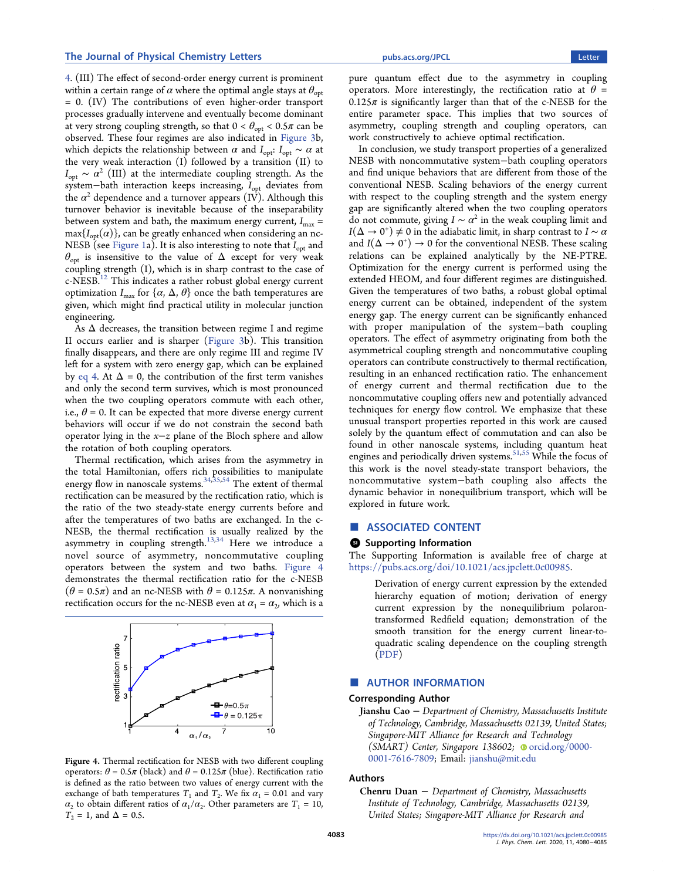<span id="page-3-0"></span>[4](#page-1-0). (III) The effect of second-order energy current is prominent within a certain range of  $\alpha$  where the optimal angle stays at  $\theta_{\text{opt}}$ = 0. (IV) The contributions of even higher-order transport processes gradually intervene and eventually become dominant at very strong coupling strength, so that  $0 < \theta_{opt} < 0.5\pi$  can be observed. These four regimes are also indicated in [Figure 3b](#page-2-0), which depicts the relationship between  $\alpha$  and  $I_{opt}$ :  $I_{opt} \sim \alpha$  at the very weak interaction (I) followed by a transition (II) to  $I_{\text{opt}} \sim \alpha^2$  (III) at the intermediate coupling strength. As the system-bath interaction keeps increasing, I<sub>opt</sub> deviates from the  $\alpha^2$  dependence and a turnover appears (IV). Although this turnover behavior is inevitable because of the inseparability between system and bath, the maximum energy current,  $I_{\text{max}} =$  $\max\{I_{\text{out}}(\alpha)\}\$ , can be greatly enhanced when considering an nc-NESB (see [Figure 1](#page-1-0)a). It is also interesting to note that  $I_{\text{opt}}$  and  $\theta_{\text{opt}}$  is insensitive to the value of  $\Delta$  except for very weak coupling strength (I), which is in sharp contrast to the case of  $c$ -NESB.<sup>[12](#page-4-0)</sup> This indicates a rather robust global energy current optimization  $I_{\text{max}}$  for  $\{\alpha, \Delta, \theta\}$  once the bath temperatures are given, which might find practical utility in molecular junction engineering.

As  $\Delta$  decreases, the transition between regime I and regime II occurs earlier and is sharper ([Figure 3](#page-2-0)b). This transition finally disappears, and there are only regime III and regime IV left for a system with zero energy gap, which can be explained by [eq 4](#page-1-0). At  $\Delta = 0$ , the contribution of the first term vanishes and only the second term survives, which is most pronounced when the two coupling operators commute with each other, i.e.,  $\theta$  = 0. It can be expected that more diverse energy current behaviors will occur if we do not constrain the second bath operator lying in the x−z plane of the Bloch sphere and allow the rotation of both coupling operators.

Thermal rectification, which arises from the asymmetry in the total Hamiltonian, offers rich possibilities to manipulate energy flow in nanoscale systems.<sup>34,[35](#page-4-0)[,54](#page-5-0)</sup> The extent of thermal rectification can be measured by the rectification ratio, which is the ratio of the two steady-state energy currents before and after the temperatures of two baths are exchanged. In the c-NESB, the thermal rectification is usually realized by the asymmetry in coupling strength. $^{13,34}$  $^{13,34}$  $^{13,34}$  $^{13,34}$  $^{13,34}$  Here we introduce a novel source of asymmetry, noncommutative coupling operators between the system and two baths. Figure 4 demonstrates the thermal rectification ratio for the c-NESB  $(\theta = 0.5\pi)$  and an nc-NESB with  $\theta = 0.125\pi$ . A nonvanishing rectification occurs for the nc-NESB even at  $\alpha_1 = \alpha_2$ , which is a



Figure 4. Thermal rectification for NESB with two different coupling operators:  $\theta = 0.5\pi$  (black) and  $\theta = 0.125\pi$  (blue). Rectification ratio is defined as the ratio between two values of energy current with the exchange of bath temperatures  $T_1$  and  $T_2$ . We fix  $\alpha_1 = 0.01$  and vary  $\alpha_2$  to obtain different ratios of  $\alpha_1/\alpha_2$ . Other parameters are  $T_1 = 10$ ,  $T_2 = 1$ , and  $\Delta = 0.5$ .

pure quantum effect due to the asymmetry in coupling operators. More interestingly, the rectification ratio at  $\theta =$  $0.125\pi$  is significantly larger than that of the c-NESB for the entire parameter space. This implies that two sources of asymmetry, coupling strength and coupling operators, can work constructively to achieve optimal rectification.

In conclusion, we study transport properties of a generalized NESB with noncommutative system−bath coupling operators and find unique behaviors that are different from those of the conventional NESB. Scaling behaviors of the energy current with respect to the coupling strength and the system energy gap are significantly altered when the two coupling operators do not commute, giving  $I \sim \alpha^2$  in the weak coupling limit and  $I(\Delta \to 0^+) \neq 0$  in the adiabatic limit, in sharp contrast to  $I \sim \alpha$ and  $I(\Delta \rightarrow 0^+) \rightarrow 0$  for the conventional NESB. These scaling relations can be explained analytically by the NE-PTRE. Optimization for the energy current is performed using the extended HEOM, and four different regimes are distinguished. Given the temperatures of two baths, a robust global optimal energy current can be obtained, independent of the system energy gap. The energy current can be significantly enhanced with proper manipulation of the system−bath coupling operators. The effect of asymmetry originating from both the asymmetrical coupling strength and noncommutative coupling operators can contribute constructively to thermal rectification, resulting in an enhanced rectification ratio. The enhancement of energy current and thermal rectification due to the noncommutative coupling offers new and potentially advanced techniques for energy flow control. We emphasize that these unusual transport properties reported in this work are caused solely by the quantum effect of commutation and can also be found in other nanoscale systems, including quantum heat engines and periodically driven systems.<sup>[51,55](#page-5-0)</sup> While the focus of this work is the novel steady-state transport behaviors, the noncommutative system−bath coupling also affects the dynamic behavior in nonequilibrium transport, which will be explored in future work.

# ■ ASSOCIATED CONTENT

# **6** Supporting Information

The Supporting Information is available free of charge at [https://pubs.acs.org/doi/10.1021/acs.jpclett.0c00985](https://pubs.acs.org/doi/10.1021/acs.jpclett.0c00985?goto=supporting-info).

Derivation of energy current expression by the extended hierarchy equation of motion; derivation of energy current expression by the nonequilibrium polarontransformed Redfield equation; demonstration of the smooth transition for the energy current linear-toquadratic scaling dependence on the coupling strength ([PDF](http://pubs.acs.org/doi/suppl/10.1021/acs.jpclett.0c00985/suppl_file/jz0c00985_si_001.pdf))

# ■ AUTHOR INFORMATION

# Corresponding Author

Jianshu Cao <sup>−</sup> Department of Chemistry, Massachusetts Institute of Technology, Cambridge, Massachusetts 02139, United States; Singapore-MIT Alliance for Research and Technology (SMART) Center, Singapore 138602;  $\bullet$  [orcid.org/0000-](http://orcid.org/0000-0001-7616-7809) [0001-7616-7809;](http://orcid.org/0000-0001-7616-7809) Email: [jianshu@mit.edu](mailto:jianshu@mit.edu)

# Authors

Chenru Duan <sup>−</sup> Department of Chemistry, Massachusetts Institute of Technology, Cambridge, Massachusetts 02139, United States; Singapore-MIT Alliance for Research and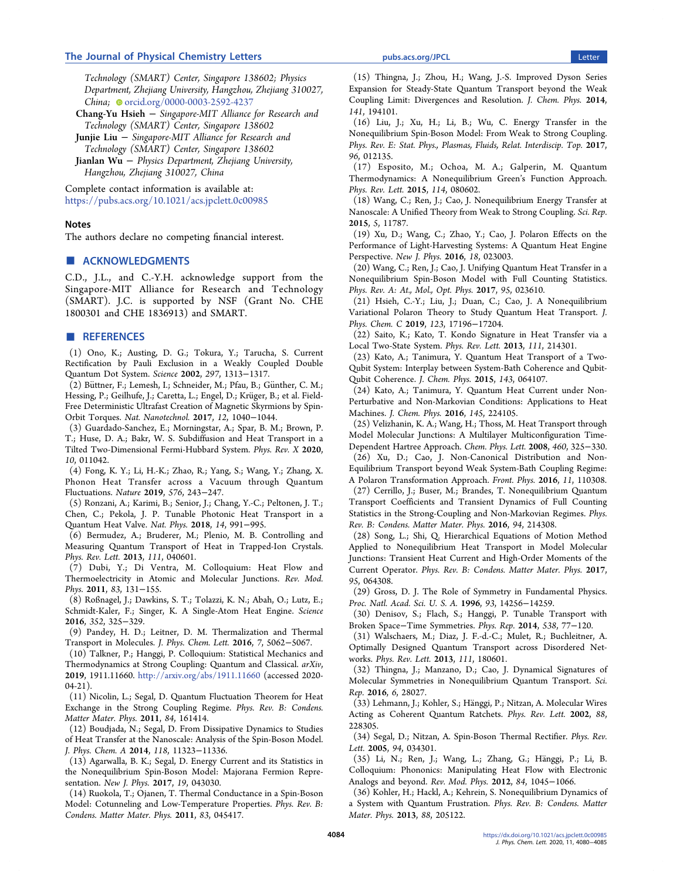# <span id="page-4-0"></span>The Journal of Physical Chemistry Letters **[pubs.acs.org/JPCL](pubs.acs.org/JPCL?ref=pdf)** 2008 and 2009 and 2009 and 2009 and 2009 and 2009 and 2009 and 2009 and 2009 and 2009 and 2009 and 2009 and 2009 and 2009 and 2009 and 2009 and 2009 and 2009 an

Technology (SMART) Center, Singapore 138602; Physics Department, Zhejiang University, Hangzhou, Zhejiang 310027, China; [orcid.org/0000-0003-2592-4237](http://orcid.org/0000-0003-2592-4237)

Chang-Yu Hsieh <sup>−</sup> Singapore-MIT Alliance for Research and Technology (SMART) Center, Singapore 138602

Junjie Liu <sup>−</sup> Singapore-MIT Alliance for Research and Technology (SMART) Center, Singapore 138602

Jianlan Wu <sup>−</sup> Physics Department, Zhejiang University, Hangzhou, Zhejiang 310027, China

Complete contact information is available at: [https://pubs.acs.org/10.1021/acs.jpclett.0c00985](https://pubs.acs.org/doi/10.1021/acs.jpclett.0c00985?ref=pdf)

# **Notes**

The authors declare no competing financial interest.

# ■ ACKNOWLEDGMENTS

C.D., J.L., and C.-Y.H. acknowledge support from the Singapore-MIT Alliance for Research and Technology (SMART). J.C. is supported by NSF (Grant No. CHE 1800301 and CHE 1836913) and SMART.

# ■ REFERENCES

(1) Ono, K.; Austing, D. G.; Tokura, Y.; Tarucha, S[. Current](https://dx.doi.org/10.1126/science.1070958) [Rectification by Pauli Exclusion in a Weakly Coupled Double](https://dx.doi.org/10.1126/science.1070958) [Quantum Dot System.](https://dx.doi.org/10.1126/science.1070958) Science 2002, 297, 1313−1317.

(2) Büttner, F.; Lemesh, I.; Schneider, M.; Pfau, B.; Günther, C. M.; Hessing, P.; Geilhufe, J.; Caretta, L.; Engel, D.; Krüger, B.; et al[. Field-](https://dx.doi.org/10.1038/nnano.2017.178)[Free Deterministic Ultrafast Creation of Magnetic Skyrmions by Spin-](https://dx.doi.org/10.1038/nnano.2017.178)[Orbit Torques.](https://dx.doi.org/10.1038/nnano.2017.178) Nat. Nanotechnol. 2017, 12, 1040−1044.

(3) Guardado-Sanchez, E.; Morningstar, A.; Spar, B. M.; Brown, P. T.; Huse, D. A.; Bakr, W. S. [Subdiffusion and Heat Transport in a](https://dx.doi.org/10.1103/PhysRevX.10.011042) [Tilted Two-Dimensional Fermi-Hubbard System.](https://dx.doi.org/10.1103/PhysRevX.10.011042) Phys. Rev. X 2020, 10, 011042.

(4) Fong, K. Y.; Li, H.-K.; Zhao, R.; Yang, S.; Wang, Y.; Zhang, X. [Phonon Heat Transfer across](https://dx.doi.org/10.1038/s41586-019-1800-4) a Vacuum through Quantum [Fluctuations.](https://dx.doi.org/10.1038/s41586-019-1800-4) Nature 2019, 576, 243−247.

(5) Ronzani, A.; Karimi, B.; Senior, J.; Chang, Y.-C.; Peltonen, J. T.; Chen, C.; Pekola, J. P[. Tunable Photonic Heat Transport in a](https://dx.doi.org/10.1038/s41567-018-0199-4) [Quantum Heat Valve.](https://dx.doi.org/10.1038/s41567-018-0199-4) Nat. Phys. 2018, 14, 991−995.

(6) Bermudez, A.; Bruderer, M.; Plenio, M. B. [Controlling and](https://dx.doi.org/10.1103/PhysRevLett.111.040601) [Measuring Quantum Transport of Heat in Trapped-Ion Crystals.](https://dx.doi.org/10.1103/PhysRevLett.111.040601) Phys. Rev. Lett. 2013, 111, 040601.

(7) Dubi, Y.; Di Ventra, M[. Colloquium: Heat Flow and](https://dx.doi.org/10.1103/RevModPhys.83.131) [Thermoelectricity in Atomic and Molecular Junctions.](https://dx.doi.org/10.1103/RevModPhys.83.131) Rev. Mod. Phys. 2011, 83, 131−155.

(8) Roßnagel, J.; Dawkins, S. T.; Tolazzi, K. N.; Abah, O.; Lutz, E.; Schmidt-Kaler, F.; Singer, K. [A Single-Atom Heat Engine.](https://dx.doi.org/10.1126/science.aad6320) Science 2016, 352, 325−329.

(9) Pandey, H. D.; Leitner, D. M. [Thermalization and Thermal](https://dx.doi.org/10.1021/acs.jpclett.6b02539) [Transport in Molecules.](https://dx.doi.org/10.1021/acs.jpclett.6b02539) J. Phys. Chem. Lett. 2016, 7, 5062−5067.

(10) Talkner, P.; Hanggi, P. Colloquium: Statistical Mechanics and Thermodynamics at Strong Coupling: Quantum and Classical. arXiv, 2019, 1911.11660. <http://arxiv.org/abs/1911.11660> (accessed 2020-  $04-21$ ).

(11) Nicolin, L.; Segal, D. [Quantum Fluctuation Theorem for Heat](https://dx.doi.org/10.1103/PhysRevB.84.161414) [Exchange in the Strong Coupling Regime.](https://dx.doi.org/10.1103/PhysRevB.84.161414) Phys. Rev. B: Condens. Matter Mater. Phys. 2011, 84, 161414.

(12) Boudjada, N.; Segal, D[. From Dissipative Dynamics to Studies](https://dx.doi.org/10.1021/jp5091685) [of Heat Transfer at the Nanoscale: Analysis of the Spin-Boson Model.](https://dx.doi.org/10.1021/jp5091685) J. Phys. Chem. A 2014, 118, 11323−11336.

(13) Agarwalla, B. K.; Segal, D. [Energy Current and its Statistics in](https://dx.doi.org/10.1088/1367-2630/aa6657) [the Nonequilibrium Spin-Boson Model: Majorana Fermion Repre](https://dx.doi.org/10.1088/1367-2630/aa6657)[sentation.](https://dx.doi.org/10.1088/1367-2630/aa6657) New J. Phys. 2017, 19, 043030.

(14) Ruokola, T.; Ojanen, T[. Thermal Conductance in a Spin-Boson](https://dx.doi.org/10.1103/PhysRevB.83.045417) [Model: Cotunneling and Low-Temperature Properties.](https://dx.doi.org/10.1103/PhysRevB.83.045417) Phys. Rev. B: Condens. Matter Mater. Phys. 2011, 83, 045417.

(15) Thingna, J.; Zhou, H.; Wang, J.-S[. Improved Dyson Series](https://dx.doi.org/10.1063/1.4901274) [Expansion for Steady-State Quantum Transport beyond the Weak](https://dx.doi.org/10.1063/1.4901274) [Coupling Limit: Divergences and Resolution.](https://dx.doi.org/10.1063/1.4901274) J. Chem. Phys. 2014, 141, 194101.

(16) Liu, J.; Xu, H.; Li, B.; Wu, C. [Energy Transfer in the](https://dx.doi.org/10.1103/PhysRevE.96.012135) [Nonequilibrium Spin-Boson Model: From Weak to Strong Coupling.](https://dx.doi.org/10.1103/PhysRevE.96.012135) Phys. Rev. E: Stat. Phys., Plasmas, Fluids, Relat. Interdiscip. Top. 2017, 96, 012135.

(17) Esposito, M.; Ochoa, M. A.; Galperin, M. [Quantum](https://dx.doi.org/10.1103/PhysRevLett.114.080602) [Thermodynamics: A Nonequilibrium Green](https://dx.doi.org/10.1103/PhysRevLett.114.080602)'s Function Approach. Phys. Rev. Lett. 2015, 114, 080602.

(18) Wang, C.; Ren, J.; Cao, J. [Nonequilibrium Energy Transfer at](https://dx.doi.org/10.1038/srep11787) [Nanoscale: A Unified Theory from Weak to Strong Coupling.](https://dx.doi.org/10.1038/srep11787) Sci. Rep. 2015, 5, 11787.

(19) Xu, D.; Wang, C.; Zhao, Y.; Cao, J[. Polaron Effects on the](https://dx.doi.org/10.1088/1367-2630/18/2/023003) [Performance of Light-Harvesting Systems: A Quantum Heat Engine](https://dx.doi.org/10.1088/1367-2630/18/2/023003) [Perspective.](https://dx.doi.org/10.1088/1367-2630/18/2/023003) New J. Phys. 2016, 18, 023003.

(20) Wang, C.; Ren, J.; Cao, J. [Unifying Quantum Heat Transfer in a](https://dx.doi.org/10.1103/PhysRevA.95.023610) [Nonequilibrium Spin-Boson Model with Full Counting Statistics.](https://dx.doi.org/10.1103/PhysRevA.95.023610) Phys. Rev. A: At., Mol., Opt. Phys. 2017, 95, 023610.

(21) Hsieh, C.-Y.; Liu, J.; Duan, C.; Cao, J. [A Nonequilibrium](https://dx.doi.org/10.1021/acs.jpcc.9b05607) [Variational Polaron Theory to Study Quantum Heat Transport.](https://dx.doi.org/10.1021/acs.jpcc.9b05607) J. Phys. Chem. C 2019, 123, 17196−17204.

(22) Saito, K.; Kato, T[. Kondo Signature in Heat Transfer via a](https://dx.doi.org/10.1103/PhysRevLett.111.214301) [Local Two-State System.](https://dx.doi.org/10.1103/PhysRevLett.111.214301) Phys. Rev. Lett. 2013, 111, 214301.

(23) Kato, A.; Tanimura, Y. [Quantum Heat Transport of a Two-](https://dx.doi.org/10.1063/1.4928192)[Qubit System: Interplay between System-Bath Coherence and Qubit-](https://dx.doi.org/10.1063/1.4928192)[Qubit Coherence.](https://dx.doi.org/10.1063/1.4928192) J. Chem. Phys. 2015, 143, 064107.

(24) Kato, A.; Tanimura, Y[. Quantum Heat Current under Non-](https://dx.doi.org/10.1063/1.4971370)[Perturbative and Non-Markovian Conditions: Applications to Heat](https://dx.doi.org/10.1063/1.4971370) [Machines.](https://dx.doi.org/10.1063/1.4971370) J. Chem. Phys. 2016, 145, 224105.

(25) Velizhanin, K. A.; Wang, H.; Thoss, M. [Heat Transport through](https://dx.doi.org/10.1016/j.cplett.2008.05.065) [Model Molecular Junctions: A Multilayer Multiconfiguration Time-](https://dx.doi.org/10.1016/j.cplett.2008.05.065)[Dependent Hartree Approach.](https://dx.doi.org/10.1016/j.cplett.2008.05.065) Chem. Phys. Lett. 2008, 460, 325−330.

(26) Xu, D.; Cao, J. [Non-Canonical Distribution and Non-](https://dx.doi.org/10.1007/s11467-016-0540-2)[Equilibrium Transport beyond Weak System-Bath Coupling Regime:](https://dx.doi.org/10.1007/s11467-016-0540-2)

[A Polaron Transformation Approach.](https://dx.doi.org/10.1007/s11467-016-0540-2) Front. Phys. 2016, 11, 110308. (27) Cerrillo, J.; Buser, M.; Brandes, T. [Nonequilibrium Quantum](https://dx.doi.org/10.1103/PhysRevB.94.214308)

[Transport Coefficients and Transient Dynamics of Full Counting](https://dx.doi.org/10.1103/PhysRevB.94.214308) [Statistics in the Strong-Coupling and Non-Markovian Regimes.](https://dx.doi.org/10.1103/PhysRevB.94.214308) Phys. Rev. B: Condens. Matter Mater. Phys. 2016, 94, 214308.

(28) Song, L.; Shi, Q[. Hierarchical Equations of Motion Method](https://dx.doi.org/10.1103/PhysRevB.95.064308) [Applied to Nonequilibrium Heat Transport in Model Molecular](https://dx.doi.org/10.1103/PhysRevB.95.064308) [Junctions: Transient Heat Current and High-Order Moments of the](https://dx.doi.org/10.1103/PhysRevB.95.064308) [Current Operator.](https://dx.doi.org/10.1103/PhysRevB.95.064308) Phys. Rev. B: Condens. Matter Mater. Phys. 2017, 95, 064308.

(29) Gross, D. J[. The Role of Symmetry in Fundamental Physics.](https://dx.doi.org/10.1073/pnas.93.25.14256) Proc. Natl. Acad. Sci. U. S. A. 1996, 93, 14256−14259.

(30) Denisov, S.; Flach, S.; Hanggi, P. [Tunable Transport with](https://dx.doi.org/10.1016/j.physrep.2014.01.003) Broken Space−[Time Symmetries.](https://dx.doi.org/10.1016/j.physrep.2014.01.003) Phys. Rep. 2014, 538, 77−120.

(31) Walschaers, M.; Diaz, J. F.-d.-C.; Mulet, R.; Buchleitner, A. [Optimally Designed Quantum Transport across Disordered Net](https://dx.doi.org/10.1103/PhysRevLett.111.180601)[works.](https://dx.doi.org/10.1103/PhysRevLett.111.180601) Phys. Rev. Lett. 2013, 111, 180601.

(32) Thingna, J.; Manzano, D.; Cao, J. [Dynamical Signatures of](https://dx.doi.org/10.1038/srep28027) [Molecular Symmetries in Nonequilibrium Quantum Transport.](https://dx.doi.org/10.1038/srep28027) Sci. Rep. 2016, 6, 28027.

(33) Lehmann, J.; Kohler, S.; Hanggi, P.; Nitzan, A. [Molecular Wires](https://dx.doi.org/10.1103/PhysRevLett.88.228305) ̈ [Acting as Coherent Quantum Ratchets.](https://dx.doi.org/10.1103/PhysRevLett.88.228305) Phys. Rev. Lett. 2002, 88, 228305.

(34) Segal, D.; Nitzan, A[. Spin-Boson Thermal Rectifier.](https://dx.doi.org/10.1103/PhysRevLett.94.034301) Phys. Rev. Lett. 2005, 94, 034301.

(35) Li, N.; Ren, J.; Wang, L.; Zhang, G.; Hänggi, P.; Li, B. [Colloquium: Phononics: Manipulating Heat Flow with Electronic](https://dx.doi.org/10.1103/RevModPhys.84.1045) [Analogs and beyond.](https://dx.doi.org/10.1103/RevModPhys.84.1045) Rev. Mod. Phys. 2012, 84, 1045−1066.

(36) Kohler, H.; Hackl, A.; Kehrein, S. [Nonequilibrium Dynamics of](https://dx.doi.org/10.1103/PhysRevB.88.205122) [a System with Quantum Frustration.](https://dx.doi.org/10.1103/PhysRevB.88.205122) Phys. Rev. B: Condens. Matter Mater. Phys. 2013, 88, 205122.